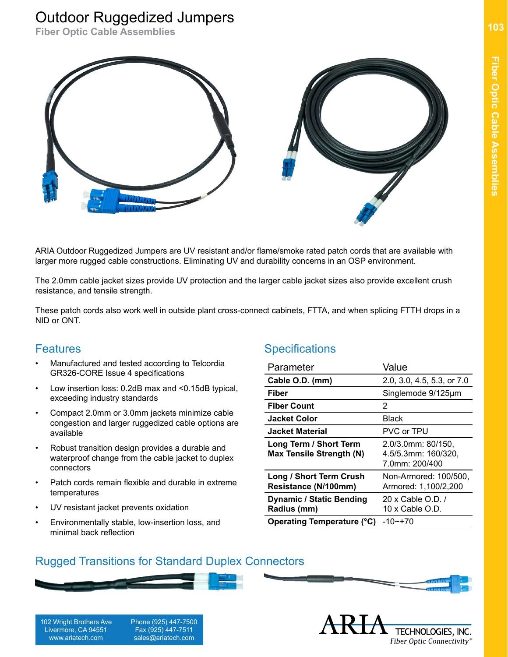## Outdoor Ruggedized Jumpers

**Fiber Optic Cable Assemblies**



ARIA Outdoor Ruggedized Jumpers are UV resistant and/or flame/smoke rated patch cords that are available with larger more rugged cable constructions. Eliminating UV and durability concerns in an OSP environment.

The 2.0mm cable jacket sizes provide UV protection and the larger cable jacket sizes also provide excellent crush resistance, and tensile strength.

These patch cords also work well in outside plant cross-connect cabinets, FTTA, and when splicing FTTH drops in a NID or ONT.

## **Features**

- Manufactured and tested according to Telcordia GR326-CORE Issue 4 specifications
- Low insertion loss: 0.2dB max and <0.15dB typical, exceeding industry standards
- Compact 2.0mm or 3.0mm jackets minimize cable congestion and larger ruggedized cable options are available
- Robust transition design provides a durable and waterproof change from the cable jacket to duplex connectors
- Patch cords remain flexible and durable in extreme temperatures
- UV resistant jacket prevents oxidation
- Environmentally stable, low-insertion loss, and minimal back reflection

## **Specifications**

| Parameter                                                 | Value                                                       |
|-----------------------------------------------------------|-------------------------------------------------------------|
| Cable O.D. (mm)                                           | 2.0, 3.0, 4.5, 5.3, or 7.0                                  |
| Fiber                                                     | Singlemode 9/125µm                                          |
| <b>Fiber Count</b>                                        | 2                                                           |
| <b>Jacket Color</b>                                       | Black                                                       |
| Jacket Material                                           | PVC or TPU                                                  |
| Long Term / Short Term<br><b>Max Tensile Strength (N)</b> | 2.0/3.0mm: 80/150,<br>4.5/5.3mm: 160/320,<br>7.0mm: 200/400 |
| Long / Short Term Crush<br>Resistance (N/100mm)           | Non-Armored: 100/500,<br>Armored: 1,100/2,200               |
| <b>Dynamic / Static Bending</b><br>Radius (mm)            | 20 x Cable O.D. /<br>10 x Cable O.D.                        |
| Operating Temperature (°C)                                | $-10$ ~+70                                                  |

## Rugged Transitions for Standard Duplex Connectors

sales@ariatech.com



www.ariatech.com



**Fiber Optic Cable Assemblies**

Fiber Optic Cable Assemblies